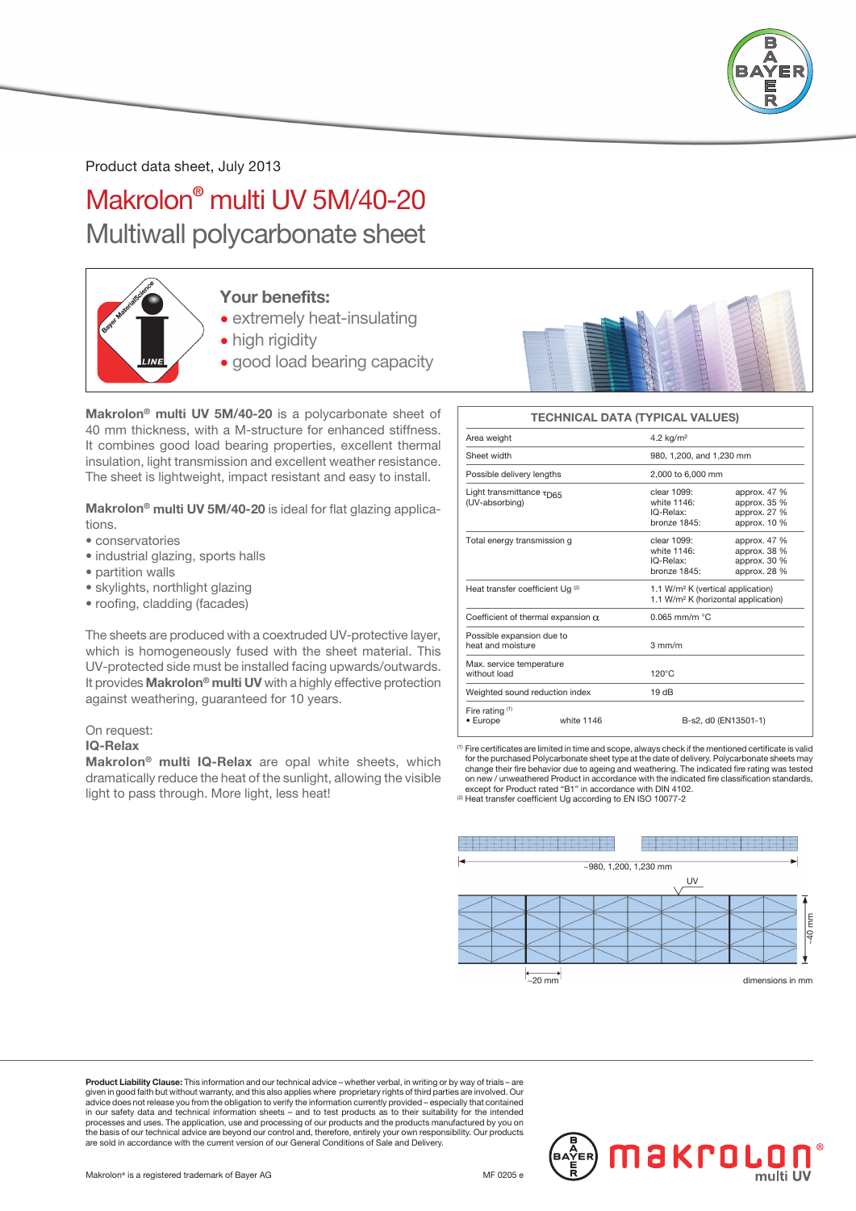

Product data sheet, July 2013

Makrolon® multi UV 5M/40-20 Multiwall polycarbonate sheet



### Your benefits:

- extremely heat-insulating
- high rigidity
- good load bearing capacity

Makrolon® multi UV 5M/40-20 is a polycarbonate sheet of 40 mm thickness, with a M-structure for enhanced stiffness. It combines good load bearing properties, excellent thermal insulation, light transmission and excellent weather resistance. The sheet is lightweight, impact resistant and easy to install.

Makrolon<sup>®</sup> multi UV 5M/40-20 is ideal for flat glazing applications.

- conservatories
- industrial glazing, sports halls
- partition walls
- skylights, northlight glazing
- roofing, cladding (facades)

The sheets are produced with a coextruded UV-protective layer, which is homogeneously fused with the sheet material. This UV-protected side must be installed facing upwards/outwards. It provides Makrolon® multi UV with a highly effective protection against weathering, guaranteed for 10 years.

#### On request:

#### IQ-Relax

Makrolon® multi IQ-Relax are opal white sheets, which dramatically reduce the heat of the sunlight, allowing the visible light to pass through. More light, less heat!



#### TECHNICAL DATA (TYPICAL VALUES)

| Area weight                                               |            | 4.2 $kg/m2$                                                                                      |                                                               |  |  |  |
|-----------------------------------------------------------|------------|--------------------------------------------------------------------------------------------------|---------------------------------------------------------------|--|--|--|
| Sheet width                                               |            | 980, 1,200, and 1,230 mm                                                                         |                                                               |  |  |  |
| Possible delivery lengths                                 |            | 2,000 to 6,000 mm                                                                                |                                                               |  |  |  |
| Light transmittance $\tau_{\text{D65}}$<br>(UV-absorbing) |            | clear 1099:<br>white 1146:<br>IQ-Relax:<br>bronze 1845:                                          | approx. 47 %<br>approx. 35 %<br>approx. 27 %<br>approx. 10 %  |  |  |  |
| Total energy transmission g                               |            | clear 1099:<br>white 1146:<br>IQ-Relax:<br>bronze 1845:                                          | approx. $47%$<br>approx. 38 %<br>approx. 30 %<br>approx. 28 % |  |  |  |
| Heat transfer coefficient Ug $(2)$                        |            | 1.1 W/m <sup>2</sup> K (vertical application)<br>1.1 W/m <sup>2</sup> K (horizontal application) |                                                               |  |  |  |
| Coefficient of thermal expansion $\alpha$                 |            | $0.065$ mm/m $°C$                                                                                |                                                               |  |  |  |
| Possible expansion due to<br>heat and moisture            |            | $3 \text{ mm/m}$                                                                                 |                                                               |  |  |  |
| Max. service temperature<br>without load                  |            | $120^{\circ}$ C                                                                                  |                                                               |  |  |  |
| Weighted sound reduction index                            |            | 19dB                                                                                             |                                                               |  |  |  |
| Fire rating $(1)$<br>• Europe                             | white 1146 | B-s2. d0 (EN13501-1)                                                                             |                                                               |  |  |  |
|                                                           |            |                                                                                                  |                                                               |  |  |  |

(1) Fire certificates are limited in time and scope, always check if the mentioned certificate is valid for the purchased Polycarbonate sheet type at the date of delivery. Polycarbonate sheets may change their fire behavior due to ageing and weathering. The indicated fire rating was tested on new / unweathered Product in accordance with the indicated fire classification standards, except for Product rated "B1" in accordance with DIN 4102. (2) Heat transfer coefficient Ug according to EN ISO 10077-2



Product Liability Clause: This information and our technical advice – whether verbal, in writing or by way of trials given in good faith but without warranty, and this also applies where proprietary rights of third parties are involved. Our<br>advice does not release you from the obligation to verify the information currently provided – es processes and uses. The application, use and processing of our products and the products manufactured by you on<br>the basis of our technical advice are beyond our control and, therefore, entirely your own responsibility. Our